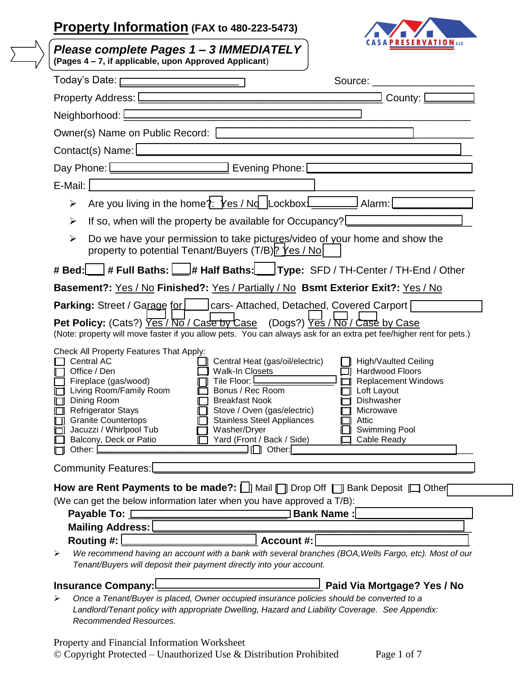## **Property Information (FAX to 480-223-5473)**



| Please complete Pages 1 - 3 IMMEDIATELY<br>(Pages 4 - 7, if applicable, upon Approved Applicant)                                                                                                                                                                                                                                                                                                                                                                                                                                                                                                                                                                                                                               |  |  |  |
|--------------------------------------------------------------------------------------------------------------------------------------------------------------------------------------------------------------------------------------------------------------------------------------------------------------------------------------------------------------------------------------------------------------------------------------------------------------------------------------------------------------------------------------------------------------------------------------------------------------------------------------------------------------------------------------------------------------------------------|--|--|--|
| Today's Date: [<br>Source: will be a series of the series of the series of the series of the series of the series of the series of the series of the series of the series of the series of the series of the series of the series of the series o                                                                                                                                                                                                                                                                                                                                                                                                                                                                              |  |  |  |
| County: [<br>Property Address: <u>Denverse and Contract and Contract and Contract and Contract and Contract and Contract and Contract and Contract and Contract and Contract and Contract and Contract and Contract and Contract and Contract</u>                                                                                                                                                                                                                                                                                                                                                                                                                                                                              |  |  |  |
|                                                                                                                                                                                                                                                                                                                                                                                                                                                                                                                                                                                                                                                                                                                                |  |  |  |
| Owner(s) Name on Public Record: [2000] [2000] [2000] [2000] [2000] [2000] [2000] [2000] [2000] [2000] [2000] [2000] [2000] [2000] [2000] [2000] [2000] [2000] [2000] [2000] [2000] [2000] [2000] [2000] [2000] [2000] [2000] [                                                                                                                                                                                                                                                                                                                                                                                                                                                                                                 |  |  |  |
| Contact(s) Name: [                                                                                                                                                                                                                                                                                                                                                                                                                                                                                                                                                                                                                                                                                                             |  |  |  |
| Day Phone: [Change and Science Lines and Science Lines 2014   Evening Phone: [Change and Discover Lines 2014                                                                                                                                                                                                                                                                                                                                                                                                                                                                                                                                                                                                                   |  |  |  |
| E-Mail:                                                                                                                                                                                                                                                                                                                                                                                                                                                                                                                                                                                                                                                                                                                        |  |  |  |
| ➤                                                                                                                                                                                                                                                                                                                                                                                                                                                                                                                                                                                                                                                                                                                              |  |  |  |
| If so, when will the property be available for Occupancy?<br>$\blacktriangleright$                                                                                                                                                                                                                                                                                                                                                                                                                                                                                                                                                                                                                                             |  |  |  |
| Do we have your permission to take pictures/video of your home and show the<br>$\blacktriangleright$<br>property to potential Tenant/Buyers (T/B) P Yes / No                                                                                                                                                                                                                                                                                                                                                                                                                                                                                                                                                                   |  |  |  |
| # Bed: # Full Baths:   # Half Baths: Type: SFD / TH-Center / TH-End / Other                                                                                                                                                                                                                                                                                                                                                                                                                                                                                                                                                                                                                                                    |  |  |  |
| Basement?: Yes / No Finished?: Yes / Partially / No Bsmt Exterior Exit?: Yes / No                                                                                                                                                                                                                                                                                                                                                                                                                                                                                                                                                                                                                                              |  |  |  |
| <b>Parking:</b> Street / Garage for         cars- Attached, Detached, Covered Carport                                                                                                                                                                                                                                                                                                                                                                                                                                                                                                                                                                                                                                          |  |  |  |
| <b>Pet Policy:</b> (Cats?) $\overline{Yes}$ / $\overline{No}$ / Case by Case (Dogs?) $\overline{Yes}$ / $\overline{No}$ / Case by Case<br>(Note: property will move faster if you allow pets. You can always ask for an extra pet fee/higher rent for pets.)                                                                                                                                                                                                                                                                                                                                                                                                                                                                   |  |  |  |
| Check All Property Features That Apply:<br><b>Central AC</b><br>Central Heat (gas/oil/electric)<br><b>High/Vaulted Ceiling</b><br>Office / Den<br>□ Hardwood Floors<br>Walk-In Closets<br>Tile Floor: <u>Lander Communist</u><br>Fireplace (gas/wood)<br>Replacement Windows<br>□ Living Room/Family Room<br>Bonus / Rec Room<br>$\Box$ Loft Layout<br>Dishwasher<br>□ Dining Room<br><b>Breakfast Nook</b><br>Refrigerator Stays<br>Stove / Oven (gas/electric)<br>Microwave<br>□ Granite Countertops<br><b>Stainless Steel Appliances</b><br>Attic<br>ப<br><b>Swimming Pool</b><br>Jacuzzi / Whirlpool Tub<br>Washer/Dryer<br>Balcony, Deck or Patio<br>Yard (Front / Back / Side)<br>Cable Ready<br>Other:<br>Other:<br>- 0 |  |  |  |
| <b>Community Features:</b>                                                                                                                                                                                                                                                                                                                                                                                                                                                                                                                                                                                                                                                                                                     |  |  |  |
| How are Rent Payments to be made?: [ ]] Mail T Drop Off T Bank Deposit I Other<br>(We can get the below information later when you have approved a T/B):<br><b>Bank Name:</b><br>Payable To: 1<br><b>Mailing Address:</b><br>Routing #:<br><b>Account #:</b><br>We recommend having an account with a bank with several branches (BOA, Wells Fargo, etc). Most of our<br>⋗<br>Tenant/Buyers will deposit their payment directly into your account.                                                                                                                                                                                                                                                                             |  |  |  |
| Paid Via Mortgage? Yes / No<br><b>Insurance Company:</b><br>Once a Tenant/Buyer is placed, Owner occupied insurance policies should be converted to a<br>Landlord/Tenant policy with appropriate Dwelling, Hazard and Liability Coverage. See Appendix:<br>Recommended Resources.                                                                                                                                                                                                                                                                                                                                                                                                                                              |  |  |  |
| Property and Financial Information Worksheet<br>$\odot$ Copyright Protected – Unauthorized Use & Distribution Prohibited<br>Page 1 of 7                                                                                                                                                                                                                                                                                                                                                                                                                                                                                                                                                                                        |  |  |  |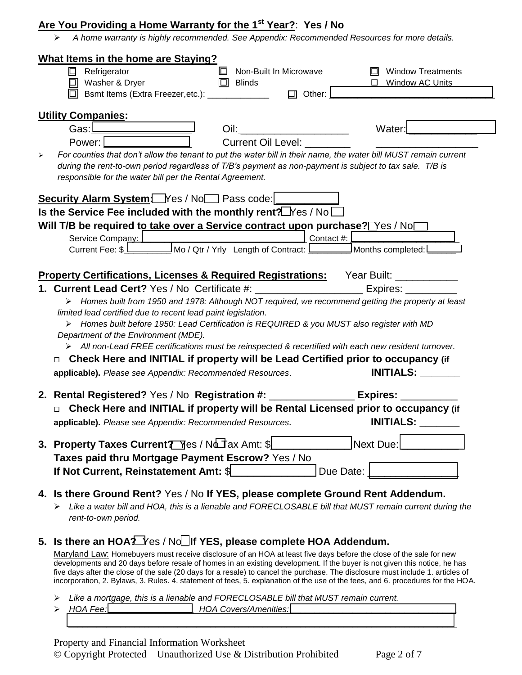## **Are You Providing a Home Warranty for the 1st Year?**: **Yes / No**

*A home warranty is highly recommended. See Appendix: Recommended Resources for more details.*

| <b>What Items in the home are Staying?</b>                                                                                                                                                                                                                                                   |                           |                                    |
|----------------------------------------------------------------------------------------------------------------------------------------------------------------------------------------------------------------------------------------------------------------------------------------------|---------------------------|------------------------------------|
| ⊡<br>Refrigerator                                                                                                                                                                                                                                                                            | □ Non-Built In Microwave  | <b>Window Treatments</b><br>$\Box$ |
| □ Washer & Dryer                                                                                                                                                                                                                                                                             | $\Box$ Blinds             | □ Window AC Units                  |
| Bsmt Items (Extra Freezer, etc.): <u>____________________</u> □ Other:                                                                                                                                                                                                                       |                           |                                    |
| <b>Utility Companies:</b>                                                                                                                                                                                                                                                                    |                           |                                    |
| Gas: <u> _______________________</u>                                                                                                                                                                                                                                                         |                           | Water:                             |
| Power:                                                                                                                                                                                                                                                                                       | <b>Current Oil Level:</b> |                                    |
| For counties that don't allow the tenant to put the water bill in their name, the water bill MUST remain current<br>➤<br>during the rent-to-own period regardless of T/B's payment as non-payment is subject to tax sale. T/B is<br>responsible for the water bill per the Rental Agreement. |                           |                                    |
| Security Alarm System Mes / Nom Pass code:                                                                                                                                                                                                                                                   |                           |                                    |
| Is the Service Fee included with the monthly rent? $\Delta$ Yes / No $\Box$                                                                                                                                                                                                                  |                           |                                    |
| Will T/B be required to take over a Service contract upon purchase? Yes / No                                                                                                                                                                                                                 |                           |                                    |
| Service Company: $\Box$<br>Current Fee: \$ ________________Mo / Qtr / Yrly Length of Contract: __________________Months completed: _______                                                                                                                                                   |                           |                                    |
|                                                                                                                                                                                                                                                                                              |                           |                                    |
| <b>Property Certifications, Licenses &amp; Required Registrations:</b> Year Built: ___________                                                                                                                                                                                               |                           |                                    |
| 1. Current Lead Cert? Yes / No Certificate #: _______________________ Expires: _________                                                                                                                                                                                                     |                           |                                    |
| > Homes built from 1950 and 1978: Although NOT required, we recommend getting the property at least                                                                                                                                                                                          |                           |                                    |
| limited lead certified due to recent lead paint legislation.                                                                                                                                                                                                                                 |                           |                                    |
| > Homes built before 1950: Lead Certification is REQUIRED & you MUST also register with MD                                                                                                                                                                                                   |                           |                                    |
| Department of the Environment (MDE).                                                                                                                                                                                                                                                         |                           |                                    |
| > All non-Lead FREE certifications must be reinspected & recertified with each new resident turnover.                                                                                                                                                                                        |                           |                                    |
| □ Check Here and INITIAL if property will be Lead Certified prior to occupancy (if                                                                                                                                                                                                           |                           |                                    |
| applicable). Please see Appendix: Recommended Resources.                                                                                                                                                                                                                                     |                           | <b>INITIALS:</b>                   |
|                                                                                                                                                                                                                                                                                              |                           |                                    |
| 2. Rental Registered? Yes / No Registration #: _________________ Expires: _______                                                                                                                                                                                                            |                           |                                    |
| □ Check Here and INITIAL if property will be Rental Licensed prior to occupancy (if                                                                                                                                                                                                          |                           |                                    |
| applicable). Please see Appendix: Recommended Resources.                                                                                                                                                                                                                                     |                           | <b>INITIALS:</b>                   |
| 3. Property Taxes Current Tomes / Not Jax Amt: \$                                                                                                                                                                                                                                            |                           | <b>Next Due:</b>                   |
| Taxes paid thru Mortgage Payment Escrow? Yes / No                                                                                                                                                                                                                                            |                           |                                    |
| If Not Current, Reinstatement Amt: \$                                                                                                                                                                                                                                                        |                           | Due Date:                          |
|                                                                                                                                                                                                                                                                                              |                           |                                    |
| 4. Is there Ground Rent? Yes / No If YES, please complete Ground Rent Addendum.<br>Like a water bill and HOA, this is a lienable and FORECLOSABLE bill that MUST remain current during the<br>rent-to-own period.                                                                            |                           |                                    |
| 5. Is there an HOA? Yes / No If YES, please complete HOA Addendum.                                                                                                                                                                                                                           |                           |                                    |
| Maryland Law: Homebuyers must receive disclosure of an HOA at least five days before the close of the sale for new                                                                                                                                                                           |                           |                                    |
| developments and 20 days before resale of homes in an existing development. If the buyer is not given this notice, he has                                                                                                                                                                    |                           |                                    |

*Like a mortgage, this is a lienable and FORECLOSABLE bill that MUST remain current.*

> HOA Fee: **Note:** HOA Covers/Amenities: *\_\_\_\_\_\_\_\_\_\_\_\_\_\_\_\_\_\_\_\_\_\_\_\_\_\_\_\_\_\_\_\_\_\_\_\_\_\_\_\_\_\_\_\_\_\_\_\_\_\_\_\_\_\_\_\_\_\_\_\_\_\_\_\_\_\_\_\_\_\_\_\_\_\_\_\_\_\_\_\_\_\_*

five days after the close of the sale (20 days for a resale) to cancel the purchase. The disclosure must include 1. articles of incorporation, 2. Bylaws, 3. Rules. 4. statement of fees, 5. explanation of the use of the fees, and 6. procedures for the HOA.

Property and Financial Information Worksheet © Copyright Protected – Unauthorized Use & Distribution Prohibited Page 2 of 7